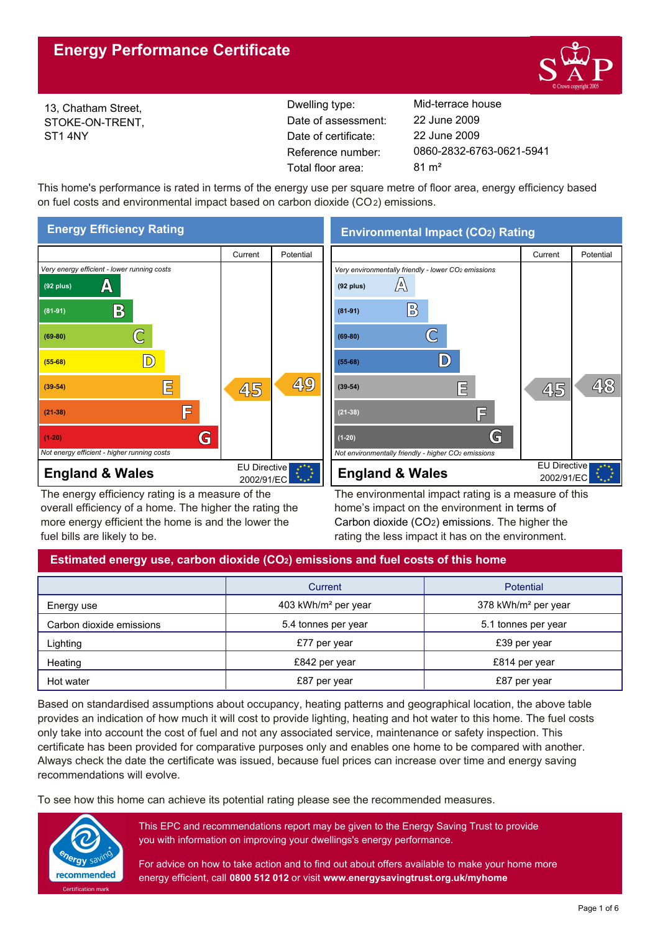# **Energy Performance Certificate**



13, Chatham Street, STOKE-ON-TRENT, ST1 4NY

Reference number: Date of certificate: Total floor area: 81 m<sup>2</sup> Date of assessment:

Dwelling type: Mid-terrace house 0860-2832-6763-0621-5941 22 June 2009 22 June 2009

This home's performance is rated in terms of the energy use per square metre of floor area, energy efficiency based on fuel costs and environmental impact based on carbon dioxide (CO2) emissions.



The energy efficiency rating is a measure of the overall efficiency of a home. The higher the rating the more energy efficient the home is and the lower the fuel bills are likely to be.

The environmental impact rating is a measure of this home's impact on the environment in terms of Carbon dioxide (CO2) emissions. The higher the rating the less impact it has on the environment.

# **Estimated energy use, carbon dioxide (CO2) emissions and fuel costs of this home**

|                          | Current                         | <b>Potential</b>                |  |
|--------------------------|---------------------------------|---------------------------------|--|
| Energy use               | 403 kWh/m <sup>2</sup> per year | 378 kWh/m <sup>2</sup> per year |  |
| Carbon dioxide emissions | 5.4 tonnes per year             | 5.1 tonnes per year             |  |
| Lighting                 | £77 per year                    | £39 per year                    |  |
| Heating                  | £842 per year                   | £814 per year                   |  |
| Hot water                | £87 per year                    | £87 per year                    |  |

Based on standardised assumptions about occupancy, heating patterns and geographical location, the above table provides an indication of how much it will cost to provide lighting, heating and hot water to this home. The fuel costs only take into account the cost of fuel and not any associated service, maintenance or safety inspection. This certificate has been provided for comparative purposes only and enables one home to be compared with another. Always check the date the certificate was issued, because fuel prices can increase over time and energy saving recommendations will evolve.

To see how this home can achieve its potential rating please see the recommended measures.



This EPC and recommendations report may be given to the Energy Saving Trust to provide you with information on improving your dwellings's energy performance.

For advice on how to take action and to find out about offers available to make your home more energy efficient, call **0800 512 012** or visit **www.energysavingtrust.org.uk/myhome**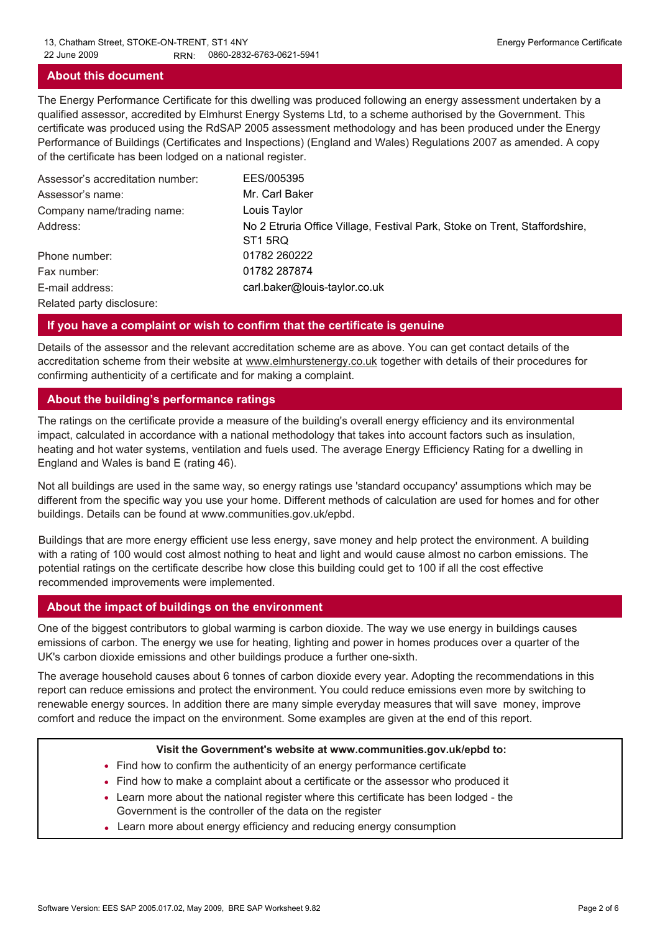### **About this document**

The Energy Performance Certificate for this dwelling was produced following an energy assessment undertaken by a qualified assessor, accredited by Elmhurst Energy Systems Ltd, to a scheme authorised by the Government. This certificate was produced using the RdSAP 2005 assessment methodology and has been produced under the Energy Performance of Buildings (Certificates and Inspections) (England and Wales) Regulations 2007 as amended. A copy of the certificate has been lodged on a national register.

| Assessor's accreditation number: | EES/005395                                                                                        |
|----------------------------------|---------------------------------------------------------------------------------------------------|
| Assessor's name:                 | Mr. Carl Baker                                                                                    |
| Company name/trading name:       | Louis Taylor                                                                                      |
| Address:                         | No 2 Etruria Office Village, Festival Park, Stoke on Trent, Staffordshire,<br>ST <sub>1</sub> 5RQ |
| Phone number:                    | 01782 260222                                                                                      |
| Fax number:                      | 01782 287874                                                                                      |
| E-mail address:                  | carl.baker@louis-taylor.co.uk                                                                     |
| Related party disclosure:        |                                                                                                   |

### **If you have a complaint or wish to confirm that the certificate is genuine**

Details of the assessor and the relevant accreditation scheme are as above. You can get contact details of the accreditation scheme from their website at www.elmhurstenergy.co.uk together with details of their procedures for confirming authenticity of a certificate and for making a complaint.

### **About the building's performance ratings**

The ratings on the certificate provide a measure of the building's overall energy efficiency and its environmental impact, calculated in accordance with a national methodology that takes into account factors such as insulation, heating and hot water systems, ventilation and fuels used. The average Energy Efficiency Rating for a dwelling in England and Wales is band E (rating 46).

Not all buildings are used in the same way, so energy ratings use 'standard occupancy' assumptions which may be different from the specific way you use your home. Different methods of calculation are used for homes and for other buildings. Details can be found at www.communities.gov.uk/epbd.

Buildings that are more energy efficient use less energy, save money and help protect the environment. A building with a rating of 100 would cost almost nothing to heat and light and would cause almost no carbon emissions. The potential ratings on the certificate describe how close this building could get to 100 if all the cost effective recommended improvements were implemented.

### **About the impact of buildings on the environment**

One of the biggest contributors to global warming is carbon dioxide. The way we use energy in buildings causes emissions of carbon. The energy we use for heating, lighting and power in homes produces over a quarter of the UK's carbon dioxide emissions and other buildings produce a further one-sixth.

The average household causes about 6 tonnes of carbon dioxide every year. Adopting the recommendations in this report can reduce emissions and protect the environment. You could reduce emissions even more by switching to renewable energy sources. In addition there are many simple everyday measures that will save money, improve comfort and reduce the impact on the environment. Some examples are given at the end of this report.

#### **Visit the Government's website at www.communities.gov.uk/epbd to:**

- Find how to confirm the authenticity of an energy performance certificate
- Find how to make a complaint about a certificate or the assessor who produced it •
- Learn more about the national register where this certificate has been lodged the Government is the controller of the data on the register
- Learn more about energy efficiency and reducing energy consumption •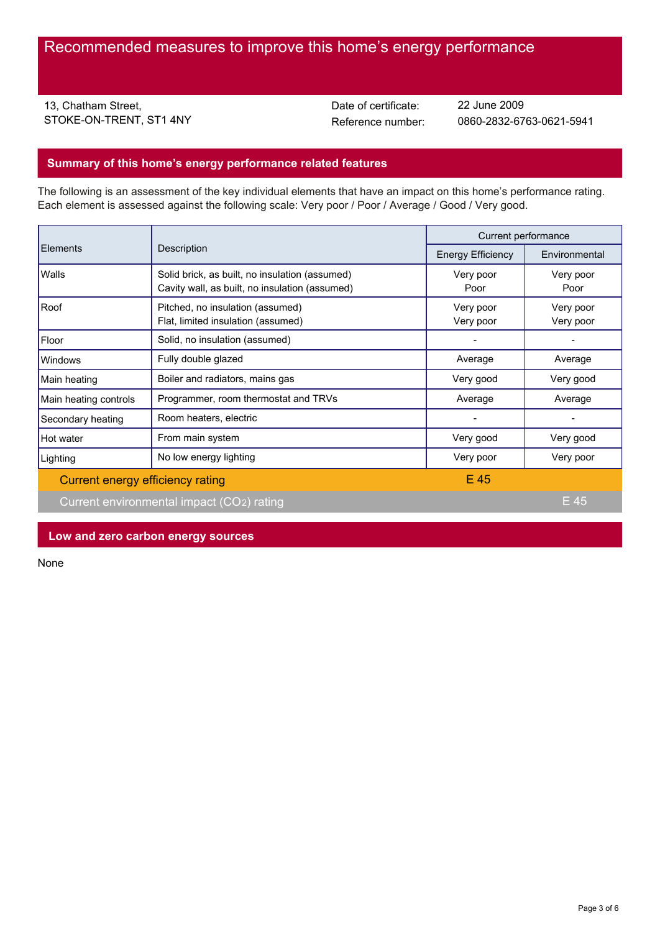13, Chatham Street, STOKE-ON-TRENT, ST1 4NY Date of certificate:

Reference number: 0860-2832-6763-0621-5941 22 June 2009

# **Summary of this home's energy performance related features**

The following is an assessment of the key individual elements that have an impact on this home's performance rating. Each element is assessed against the following scale: Very poor / Poor / Average / Good / Very good.

| <b>Elements</b>                  | Description                                                                                      | Current performance      |                        |
|----------------------------------|--------------------------------------------------------------------------------------------------|--------------------------|------------------------|
|                                  |                                                                                                  | <b>Energy Efficiency</b> | Environmental          |
| Walls                            | Solid brick, as built, no insulation (assumed)<br>Cavity wall, as built, no insulation (assumed) | Very poor<br>Poor        | Very poor<br>Poor      |
| Roof                             | Pitched, no insulation (assumed)<br>Flat, limited insulation (assumed)                           | Very poor<br>Very poor   | Very poor<br>Very poor |
| Floor                            | Solid, no insulation (assumed)                                                                   |                          |                        |
| <b>Windows</b>                   | Fully double glazed                                                                              | Average                  | Average                |
| Main heating                     | Boiler and radiators, mains gas                                                                  | Very good                | Very good              |
| Main heating controls            | Programmer, room thermostat and TRVs                                                             | Average                  | Average                |
| Secondary heating                | Room heaters, electric                                                                           |                          |                        |
| Hot water                        | From main system                                                                                 | Very good                | Very good              |
| Lighting                         | No low energy lighting                                                                           | Very poor                | Very poor              |
| Current energy efficiency rating |                                                                                                  | E 45                     |                        |
|                                  | Current environmental impact (CO2) rating                                                        |                          | $E$ 45                 |

**Low and zero carbon energy sources**

None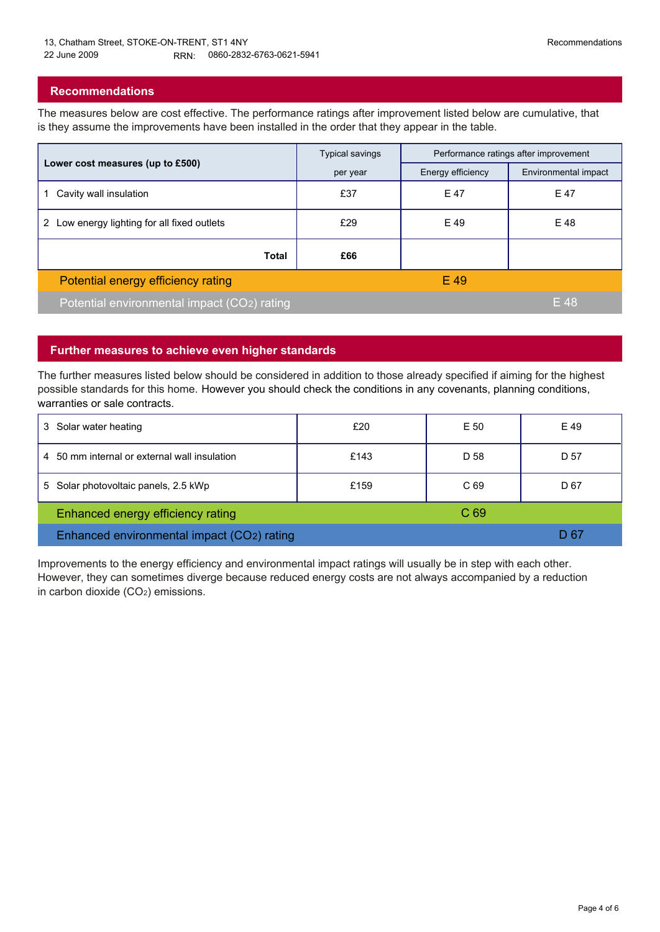# **Recommendations**

The measures below are cost effective. The performance ratings after improvement listed below are cumulative, that is they assume the improvements have been installed in the order that they appear in the table.

|                                                           | <b>Typical savings</b> | Performance ratings after improvement |                      |
|-----------------------------------------------------------|------------------------|---------------------------------------|----------------------|
| Lower cost measures (up to £500)                          | per year               | Energy efficiency                     | Environmental impact |
| Cavity wall insulation                                    | £37                    | E 47                                  | E 47                 |
| Low energy lighting for all fixed outlets<br>$\mathbf{2}$ | £29                    | E 49                                  | E 48                 |
| Total                                                     | £66                    |                                       |                      |
| Potential energy efficiency rating                        |                        | E 49                                  |                      |
| Potential environmental impact (CO2) rating               |                        |                                       | E 48                 |

## **Further measures to achieve even higher standards**

The further measures listed below should be considered in addition to those already specified if aiming for the highest possible standards for this home. However you should check the conditions in any covenants, planning conditions, warranties or sale contracts.

| 3 Solar water heating                                | £20  | E 50 | E 49 |
|------------------------------------------------------|------|------|------|
| 4 50 mm internal or external wall insulation         | £143 | D 58 | D 57 |
| 5 Solar photovoltaic panels, 2.5 kWp                 | £159 | C 69 | D 67 |
| C <sub>69</sub><br>Enhanced energy efficiency rating |      |      |      |
| Enhanced environmental impact (CO2) rating           |      |      | D 67 |

Improvements to the energy efficiency and environmental impact ratings will usually be in step with each other. However, they can sometimes diverge because reduced energy costs are not always accompanied by a reduction in carbon dioxide (CO2) emissions.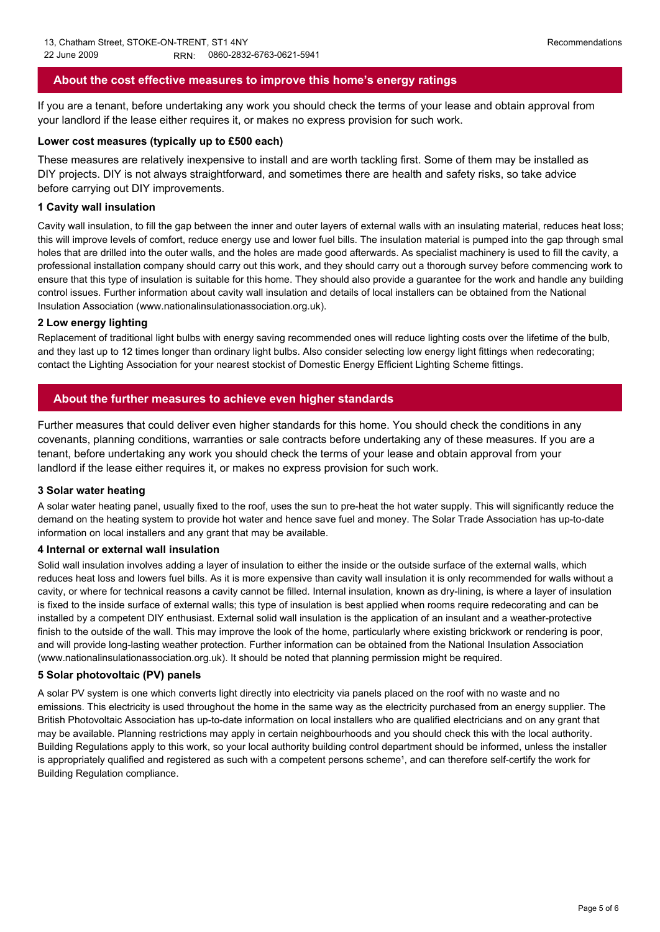# **About the cost effective measures to improve this home's energy ratings**

If you are a tenant, before undertaking any work you should check the terms of your lease and obtain approval from your landlord if the lease either requires it, or makes no express provision for such work.

### **Lower cost measures (typically up to £500 each)**

These measures are relatively inexpensive to install and are worth tackling first. Some of them may be installed as DIY projects. DIY is not always straightforward, and sometimes there are health and safety risks, so take advice before carrying out DIY improvements.

#### **1 Cavity wall insulation**

Cavity wall insulation, to fill the gap between the inner and outer layers of external walls with an insulating material, reduces heat loss; this will improve levels of comfort, reduce energy use and lower fuel bills. The insulation material is pumped into the gap through small holes that are drilled into the outer walls, and the holes are made good afterwards. As specialist machinery is used to fill the cavity, a professional installation company should carry out this work, and they should carry out a thorough survey before commencing work to ensure that this type of insulation is suitable for this home. They should also provide a guarantee for the work and handle any building control issues. Further information about cavity wall insulation and details of local installers can be obtained from the National Insulation Association (www.nationalinsulationassociation.org.uk).

#### **2 Low energy lighting**

Replacement of traditional light bulbs with energy saving recommended ones will reduce lighting costs over the lifetime of the bulb, and they last up to 12 times longer than ordinary light bulbs. Also consider selecting low energy light fittings when redecorating; contact the Lighting Association for your nearest stockist of Domestic Energy Efficient Lighting Scheme fittings.

## **About the further measures to achieve even higher standards**

Further measures that could deliver even higher standards for this home. You should check the conditions in any covenants, planning conditions, warranties or sale contracts before undertaking any of these measures. If you are a tenant, before undertaking any work you should check the terms of your lease and obtain approval from your landlord if the lease either requires it, or makes no express provision for such work.

#### **3 Solar water heating**

A solar water heating panel, usually fixed to the roof, uses the sun to pre-heat the hot water supply. This will significantly reduce the demand on the heating system to provide hot water and hence save fuel and money. The Solar Trade Association has up-to-date information on local installers and any grant that may be available.

### **4 Internal or external wall insulation**

Solid wall insulation involves adding a layer of insulation to either the inside or the outside surface of the external walls, which reduces heat loss and lowers fuel bills. As it is more expensive than cavity wall insulation it is only recommended for walls without a cavity, or where for technical reasons a cavity cannot be filled. Internal insulation, known as dry-lining, is where a layer of insulation is fixed to the inside surface of external walls; this type of insulation is best applied when rooms require redecorating and can be installed by a competent DIY enthusiast. External solid wall insulation is the application of an insulant and a weather-protective finish to the outside of the wall. This may improve the look of the home, particularly where existing brickwork or rendering is poor, and will provide long-lasting weather protection. Further information can be obtained from the National Insulation Association (www.nationalinsulationassociation.org.uk). It should be noted that planning permission might be required.

#### **5 Solar photovoltaic (PV) panels**

A solar PV system is one which converts light directly into electricity via panels placed on the roof with no waste and no emissions. This electricity is used throughout the home in the same way as the electricity purchased from an energy supplier. The British Photovoltaic Association has up-to-date information on local installers who are qualified electricians and on any grant that may be available. Planning restrictions may apply in certain neighbourhoods and you should check this with the local authority. Building Regulations apply to this work, so your local authority building control department should be informed, unless the installer is appropriately qualified and registered as such with a competent persons scheme<sup>1</sup>, and can therefore self-certify the work for Building Regulation compliance.